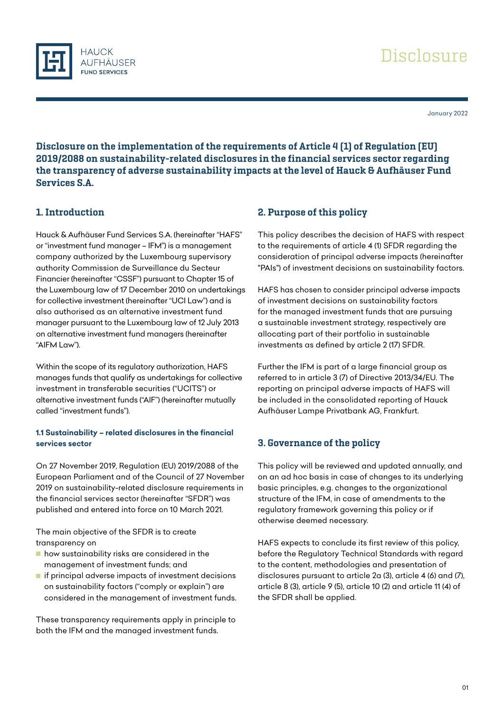

January 2022

Disclosure on the implementation of the requirements of Article 4 (1) of Regulation (EU) 2019/2088 on sustainability-related disclosures in the financial services sector regarding the transparency of adverse sustainability impacts at the level of Hauck & Aufhäuser Fund Services S.A.

## 1. Introduction

Hauck & Aufhäuser Fund Services S.A. (hereinafter "HAFS" or "investment fund manager – IFM") is a management company authorized by the Luxembourg supervisory authority Commission de Surveillance du Secteur Financier (hereinafter "CSSF") pursuant to Chapter 15 of the Luxembourg law of 17 December 2010 on undertakings for collective investment (hereinafter "UCI Law") and is also authorised as an alternative investment fund manager pursuant to the Luxembourg law of 12 July 2013 on alternative investment fund managers (hereinafter "AIFM Law").

Within the scope of its regulatory authorization, HAFS manages funds that qualify as undertakings for collective investment in transferable securities ("UCITS") or alternative investment funds ("AIF") (hereinafter mutually called "investment funds").

### **1.1 Sustainability – related disclosures in the financial services sector**

On 27 November 2019, Regulation (EU) 2019/2088 of the European Parliament and of the Council of 27 November 2019 on sustainability-related disclosure requirements in the financial services sector (hereinafter "SFDR") was published and entered into force on 10 March 2021.

The main objective of the SFDR is to create transparency on

- **how sustainability risks are considered in the** management of investment funds; and
- **I** if principal adverse impacts of investment decisions on sustainability factors ("comply or explain") are considered in the management of investment funds.

These transparency requirements apply in principle to both the IFM and the managed investment funds.

## 2. Purpose of this policy

This policy describes the decision of HAFS with respect to the requirements of article 4 (1) SFDR regarding the consideration of principal adverse impacts (hereinafter "PAIs") of investment decisions on sustainability factors.

HAFS has chosen to consider principal adverse impacts of investment decisions on sustainability factors for the managed investment funds that are pursuing a sustainable investment strategy, respectively are allocating part of their portfolio in sustainable investments as defined by article 2 (17) SFDR.

Further the IFM is part of a large financial group as referred to in article 3 (7) of Directive 2013/34/EU. The reporting on principal adverse impacts of HAFS will be included in the consolidated reporting of Hauck Aufhäuser Lampe Privatbank AG, Frankfurt.

# 3. Governance of the policy

This policy will be reviewed and updated annually, and on an ad hoc basis in case of changes to its underlying basic principles, e.g. changes to the organizational structure of the IFM, in case of amendments to the regulatory framework governing this policy or if otherwise deemed necessary.

HAFS expects to conclude its first review of this policy, before the Regulatory Technical Standards with regard to the content, methodologies and presentation of disclosures pursuant to article 2a (3), article 4 (6) and (7), article 8 (3), article 9 (5), article 10 (2) and article 11 (4) of the SFDR shall be applied.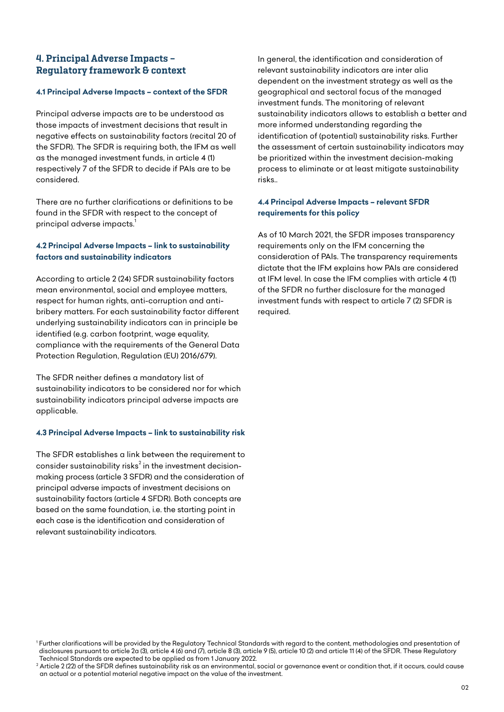## 4. Principal Adverse Impacts – Regulatory framework & context

#### **4.1 Principal Adverse Impacts – context of the SFDR**

Principal adverse impacts are to be understood as those impacts of investment decisions that result in negative effects on sustainability factors (recital 20 of the SFDR). The SFDR is requiring both, the IFM as well as the managed investment funds, in article 4 (1) respectively 7 of the SFDR to decide if PAIs are to be considered.

There are no further clarifications or definitions to be found in the SFDR with respect to the concept of principal adverse impacts.<sup>1</sup>

## **4.2 Principal Adverse Impacts – link to sustainability factors and sustainability indicators**

According to article 2 (24) SFDR sustainability factors mean environmental, social and employee matters, respect for human rights, anti-corruption and antibribery matters. For each sustainability factor different underlying sustainability indicators can in principle be identified (e.g. carbon footprint, wage equality, compliance with the requirements of the General Data Protection Regulation, Regulation (EU) 2016/679).

The SFDR neither defines a mandatory list of sustainability indicators to be considered nor for which sustainability indicators principal adverse impacts are applicable.

### **4.3 Principal Adverse Impacts – link to sustainability risk**

The SFDR establishes a link between the requirement to consider sustainability risks $^{\rm 2}$  in the investment decisionmaking process (article 3 SFDR) and the consideration of principal adverse impacts of investment decisions on sustainability factors (article 4 SFDR). Both concepts are based on the same foundation, i.e. the starting point in each case is the identification and consideration of relevant sustainability indicators.

In general, the identification and consideration of relevant sustainability indicators are inter alia dependent on the investment strategy as well as the geographical and sectoral focus of the managed investment funds. The monitoring of relevant sustainability indicators allows to establish a better and more informed understanding regarding the identification of (potential) sustainability risks. Further the assessment of certain sustainability indicators may be prioritized within the investment decision-making process to eliminate or at least mitigate sustainability risks..

#### **4.4 Principal Adverse Impacts – relevant SFDR requirements for this policy**

As of 10 March 2021, the SFDR imposes transparency requirements only on the IFM concerning the consideration of PAIs. The transparency requirements dictate that the IFM explains how PAIs are considered at IFM level. In case the IFM complies with article 4 (1) of the SFDR no further disclosure for the managed investment funds with respect to article 7 (2) SFDR is required.

<sup>1</sup> Further clarifications will be provided by the Regulatory Technical Standards with regard to the content, methodologies and presentation of disclosures pursuant to article 2a (3), article 4 (6) and (7), article 8 (3), article 9 (5), article 10 (2) and article 11 (4) of the SFDR. These Regulatory Technical Standards are expected to be applied as from 1 January 2022.

<sup>&</sup>lt;sup>2</sup> Article 2 (22) of the SFDR defines sustainability risk as an environmental, social or governance event or condition that, if it occurs, could cause an actual or a potential material negative impact on the value of the investment.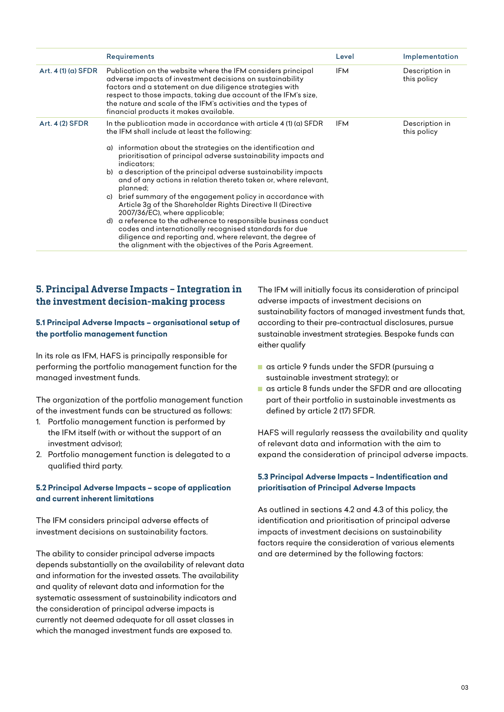|                     | <b>Requirements</b>                                                                                                                                                                                                                                                                                                                                                                                                                                                                                                                                                                                                                                                                                                                                                                                                                                   | Level      | Implementation                |
|---------------------|-------------------------------------------------------------------------------------------------------------------------------------------------------------------------------------------------------------------------------------------------------------------------------------------------------------------------------------------------------------------------------------------------------------------------------------------------------------------------------------------------------------------------------------------------------------------------------------------------------------------------------------------------------------------------------------------------------------------------------------------------------------------------------------------------------------------------------------------------------|------------|-------------------------------|
| Art. $4(1)(a)$ SFDR | Publication on the website where the IFM considers principal<br>adverse impacts of investment decisions on sustainability<br>factors and a statement on due diligence strategies with<br>respect to those impacts, taking due account of the IFM's size,<br>the nature and scale of the IFM's activities and the types of<br>financial products it makes available.                                                                                                                                                                                                                                                                                                                                                                                                                                                                                   | <b>IFM</b> | Description in<br>this policy |
| Art. 4 (2) SFDR     | In the publication made in accordance with article 4 (1) (a) SFDR<br>the IFM shall include at least the following:<br>information about the strategies on the identification and<br>a)<br>prioritisation of principal adverse sustainability impacts and<br>indicators;<br>b) a description of the principal adverse sustainability impacts<br>and of any actions in relation thereto taken or, where relevant,<br>planned:<br>c) brief summary of the engagement policy in accordance with<br>Article 3g of the Shareholder Rights Directive II (Directive<br>2007/36/EC), where applicable;<br>d) a reference to the adherence to responsible business conduct<br>codes and internationally recognised standards for due<br>diligence and reporting and, where relevant, the degree of<br>the alignment with the objectives of the Paris Agreement. | <b>IFM</b> | Description in<br>this policy |

## 5. Principal Adverse Impacts – Integration in the investment decision-making process

### **5.1 Principal Adverse Impacts – organisational setup of the portfolio management function**

In its role as IFM, HAFS is principally responsible for performing the portfolio management function for the managed investment funds.

The organization of the portfolio management function of the investment funds can be structured as follows:

- 1. Portfolio management function is performed by the IFM itself (with or without the support of an investment advisor);
- 2. Portfolio management function is delegated to a qualified third party.

### **5.2 Principal Adverse Impacts – scope of application and current inherent limitations**

The IFM considers principal adverse effects of investment decisions on sustainability factors.

The ability to consider principal adverse impacts depends substantially on the availability of relevant data and information for the invested assets. The availability and quality of relevant data and information for the systematic assessment of sustainability indicators and the consideration of principal adverse impacts is currently not deemed adequate for all asset classes in which the managed investment funds are exposed to.

The IFM will initially focus its consideration of principal adverse impacts of investment decisions on sustainability factors of managed investment funds that, according to their pre-contractual disclosures, pursue sustainable investment strategies. Bespoke funds can either qualify

- as article 9 funds under the SFDR (pursuing a sustainable investment strategy); or
- as article 8 funds under the SFDR and are allocating part of their portfolio in sustainable investments as defined by article 2 (17) SFDR.

HAFS will regularly reassess the availability and quality of relevant data and information with the aim to expand the consideration of principal adverse impacts.

### **5.3 Principal Adverse Impacts – Indentification and prioritisation of Principal Adverse Impacts**

As outlined in sections 4.2 and 4.3 of this policy, the identification and prioritisation of principal adverse impacts of investment decisions on sustainability factors require the consideration of various elements and are determined by the following factors: